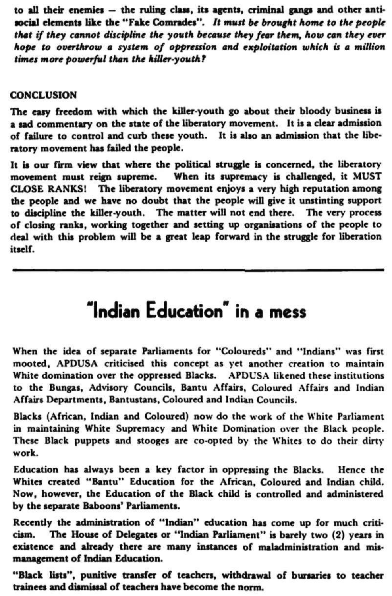to all their enemies — the ruling class, its agents, criminal gangs and other antisocial elements like the "Fake Comrades". *It must be brought home to the people that if they cannot discipline the youth because they fear them, how can they ever hope to overthrow a system of oppression and exploitation which is a million times more powerful than the killer-youth?* 

## CONCLUSION

The easy freedom with which the killer-youth go about their bloody business is a sad commentary on the state of the liberatory movement. It is a clear admission of failure to control and curb these youth. It is also an admission that the liberatory movement has failed the people.

It is our firm view that where the political struggle is concerned, the liberatory movement must reign supreme. When its supremacy is challenged, it MUST CLOSE RANKS! The liberatory movement enjoys a very high reputation among the people and we have no doubt that the people will give it unstinting support to discipline the killer-youth. The matter will not end there. The very process of closing ranks, working together and setting up organisations of the people to deal with this problem will be a great leap forward in the struggle for liberation itself.

**^a^a^a^a^a^s^s^s^s^s^s^s^s^s^s^s^s^s^s^s^s^s^s^s^s^s^s^s^s^s^s^s^B^^s^s^s^s^sas^s^** 

## **"Indian Education" in a mess**

When the idea of separate Parliaments for "Colourcds" and "Indians" was first mooted, APDUSA criticised this concept as yet another creation to maintain White domination over the oppressed Blacks. APDUSA likened these institutions to the Bungas, Advisory Councils, Bantu Affairs, Coloured Affairs and Indian Affairs Departments, Bantustans, Coloured and Indian Councils.

Blacks (African, Indian and Coloured) now do the work of the White Parliament in maintaining White Supremacy and White Domination over the Black people. These Black puppets and stooges are co-opted by the Whites to do their dirty work.

Education has always been a key factor in oppressing the Blacks. Hence the Whites created "Bantu" Education for the African, Coloured and Indian child. Now, however, the Education of the Black child is controlled and administered by the separate Baboons' Parliaments.

Recently the administration of "Indian" education has come up for much criticism. The House of Delegates or "Indian Parliament" is barely two (2) years in existence and already there are many instances of maladministration and mismanagement of Indian Education.

"Black lists", punitive transfer of teachers, withdrawal of bursaries to teacher trainees and dismissal of teachers have become the norm.